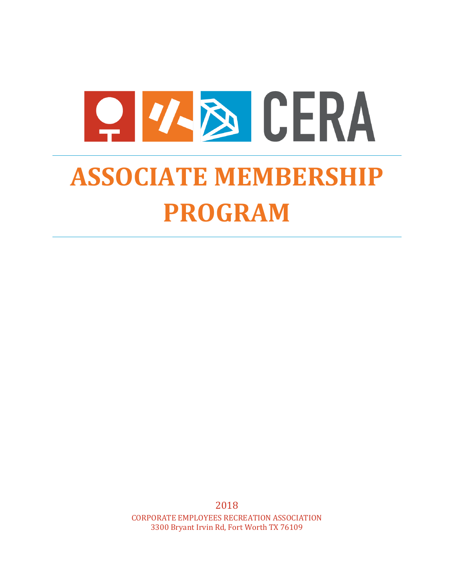

# **ASSOCIATE MEMBERSHIP PROGRAM**

2018 CORPORATE EMPLOYEES RECREATION ASSOCIATION 3300 Bryant Irvin Rd, Fort Worth TX 76109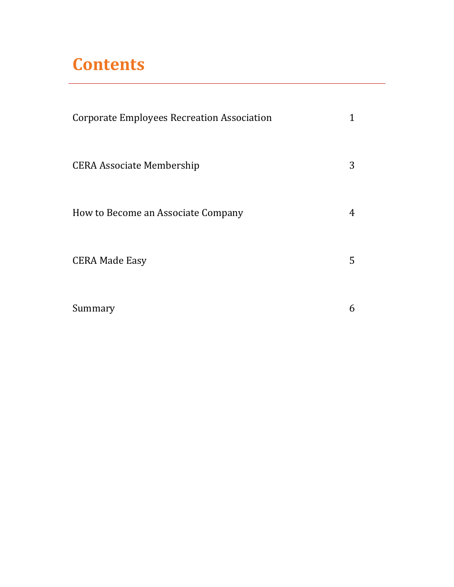# **Contents**

| <b>Corporate Employees Recreation Association</b> |   |
|---------------------------------------------------|---|
| <b>CERA Associate Membership</b>                  | 3 |
| How to Become an Associate Company                | 4 |
| <b>CERA Made Easy</b>                             | 5 |
| Summary                                           | 6 |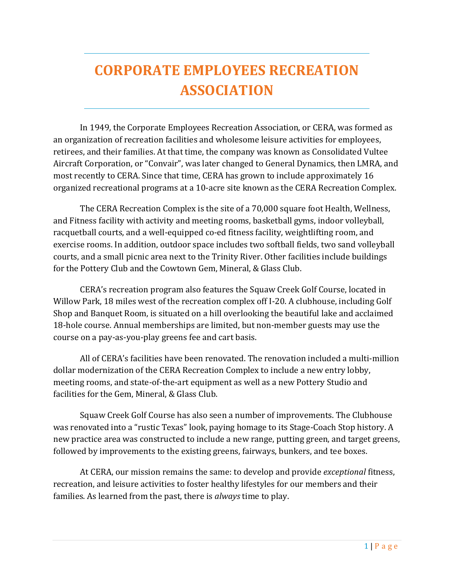# **CORPORATE EMPLOYEES RECREATION ASSOCIATION**

In 1949, the Corporate Employees Recreation Association, or CERA, was formed as an organization of recreation facilities and wholesome leisure activities for employees, retirees, and their families. At that time, the company was known as Consolidated Vultee Aircraft Corporation, or "Convair", was later changed to General Dynamics, then LMRA, and most recently to CERA. Since that time, CERA has grown to include approximately 16 organized recreational programs at a 10-acre site known as the CERA Recreation Complex.

The CERA Recreation Complex is the site of a 70,000 square foot Health, Wellness, and Fitness facility with activity and meeting rooms, basketball gyms, indoor volleyball, racquetball courts, and a well-equipped co-ed fitness facility, weightlifting room, and exercise rooms. In addition, outdoor space includes two softball fields, two sand volleyball courts, and a small picnic area next to the Trinity River. Other facilities include buildings for the Pottery Club and the Cowtown Gem, Mineral, & Glass Club.

CERA's recreation program also features the Squaw Creek Golf Course, located in Willow Park, 18 miles west of the recreation complex off I-20. A clubhouse, including Golf Shop and Banquet Room, is situated on a hill overlooking the beautiful lake and acclaimed 18-hole course. Annual memberships are limited, but non-member guests may use the course on a pay-as-you-play greens fee and cart basis.

All of CERA's facilities have been renovated. The renovation included a multi-million dollar modernization of the CERA Recreation Complex to include a new entry lobby, meeting rooms, and state-of-the-art equipment as well as a new Pottery Studio and facilities for the Gem, Mineral, & Glass Club.

Squaw Creek Golf Course has also seen a number of improvements. The Clubhouse was renovated into a "rustic Texas" look, paying homage to its Stage-Coach Stop history. A new practice area was constructed to include a new range, putting green, and target greens, followed by improvements to the existing greens, fairways, bunkers, and tee boxes.

At CERA, our mission remains the same: to develop and provide *exceptional* fitness, recreation, and leisure activities to foster healthy lifestyles for our members and their families. As learned from the past, there is *always* time to play.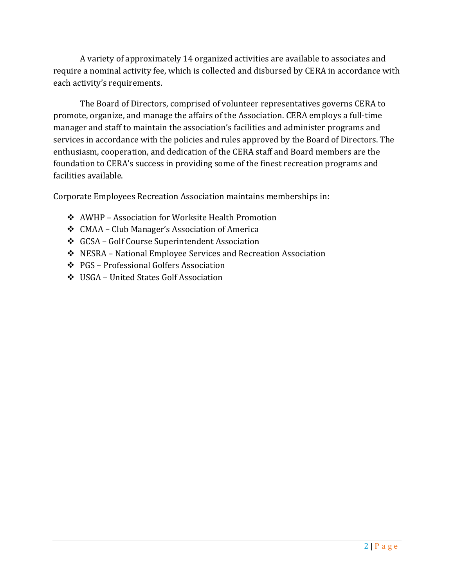A variety of approximately 14 organized activities are available to associates and require a nominal activity fee, which is collected and disbursed by CERA in accordance with each activity's requirements.

The Board of Directors, comprised of volunteer representatives governs CERA to promote, organize, and manage the affairs of the Association. CERA employs a full-time manager and staff to maintain the association's facilities and administer programs and services in accordance with the policies and rules approved by the Board of Directors. The enthusiasm, cooperation, and dedication of the CERA staff and Board members are the foundation to CERA's success in providing some of the finest recreation programs and facilities available.

Corporate Employees Recreation Association maintains memberships in:

- AWHP Association for Worksite Health Promotion
- CMAA Club Manager's Association of America
- GCSA Golf Course Superintendent Association
- NESRA National Employee Services and Recreation Association
- PGS Professional Golfers Association
- USGA United States Golf Association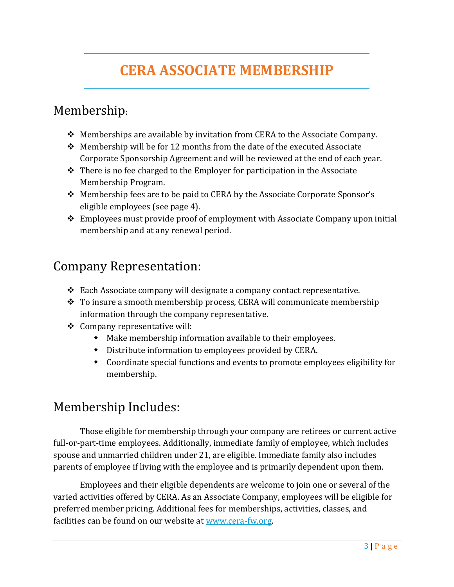# **CERA ASSOCIATE MEMBERSHIP**

#### Membership:

- $\triangleq$  Memberships are available by invitation from CERA to the Associate Company.
- Membership will be for 12 months from the date of the executed Associate Corporate Sponsorship Agreement and will be reviewed at the end of each year.
- $\cdot \cdot$  There is no fee charged to the Employer for participation in the Associate Membership Program.
- Membership fees are to be paid to CERA by the Associate Corporate Sponsor's eligible employees (see page 4).
- Employees must provide proof of employment with Associate Company upon initial membership and at any renewal period.

#### Company Representation:

- $\triangle$  Each Associate company will designate a company contact representative.
- $\div$  To insure a smooth membership process, CERA will communicate membership information through the company representative.
- Company representative will:
	- Make membership information available to their employees.
	- Distribute information to employees provided by CERA.
	- Coordinate special functions and events to promote employees eligibility for membership.

#### Membership Includes:

Those eligible for membership through your company are retirees or current active full-or-part-time employees. Additionally, immediate family of employee, which includes spouse and unmarried children under 21, are eligible. Immediate family also includes parents of employee if living with the employee and is primarily dependent upon them.

Employees and their eligible dependents are welcome to join one or several of the varied activities offered by CERA. As an Associate Company, employees will be eligible for preferred member pricing. Additional fees for memberships, activities, classes, and facilities can be found on our website a[t www.cera-fw.org.](http://www.cera-fw.org/)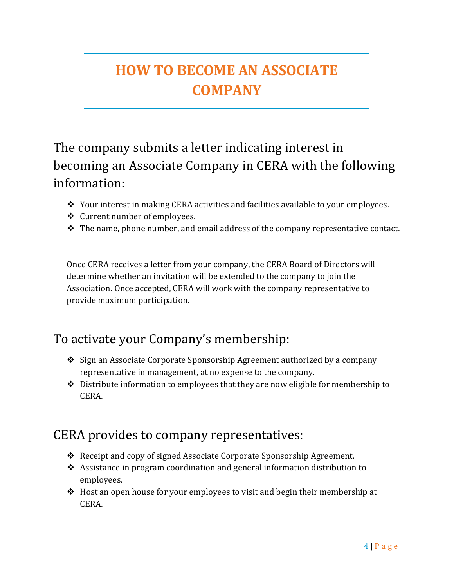# **HOW TO BECOME AN ASSOCIATE COMPANY**

## The company submits a letter indicating interest in becoming an Associate Company in CERA with the following information:

- \* Your interest in making CERA activities and facilities available to your employees.
- Current number of employees.
- $\triangle$  The name, phone number, and email address of the company representative contact.

Once CERA receives a letter from your company, the CERA Board of Directors will determine whether an invitation will be extended to the company to join the Association. Once accepted, CERA will work with the company representative to provide maximum participation.

## To activate your Company's membership:

- ◆ Sign an Associate Corporate Sponsorship Agreement authorized by a company representative in management, at no expense to the company.
- $\triangle$  Distribute information to employees that they are now eligible for membership to CERA.

#### CERA provides to company representatives:

- \* Receipt and copy of signed Associate Corporate Sponsorship Agreement.
- Assistance in program coordination and general information distribution to employees.
- Host an open house for your employees to visit and begin their membership at CERA.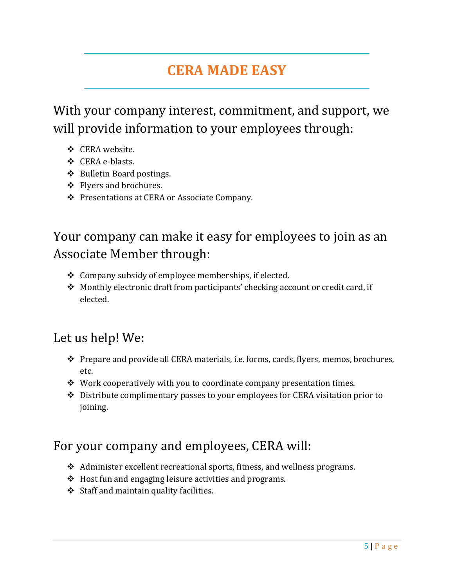## **CERA MADE EASY**

With your company interest, commitment, and support, we will provide information to your employees through:

- ❖ CERA website.
- CERA e-blasts.
- ◆ Bulletin Board postings.
- ❖ Flyers and brochures.
- ❖ Presentations at CERA or Associate Company.

## Your company can make it easy for employees to join as an Associate Member through:

- Company subsidy of employee memberships, if elected.
- ◆ Monthly electronic draft from participants' checking account or credit card, if elected.

#### Let us help! We:

- Prepare and provide all CERA materials, i.e. forms, cards, flyers, memos, brochures, etc.
- $\cdot$  Work cooperatively with you to coordinate company presentation times.
- Distribute complimentary passes to your employees for CERA visitation prior to joining.

#### For your company and employees, CERA will:

- Administer excellent recreational sports, fitness, and wellness programs.
- $\triangleleft$  Host fun and engaging leisure activities and programs.
- $\div$  Staff and maintain quality facilities.